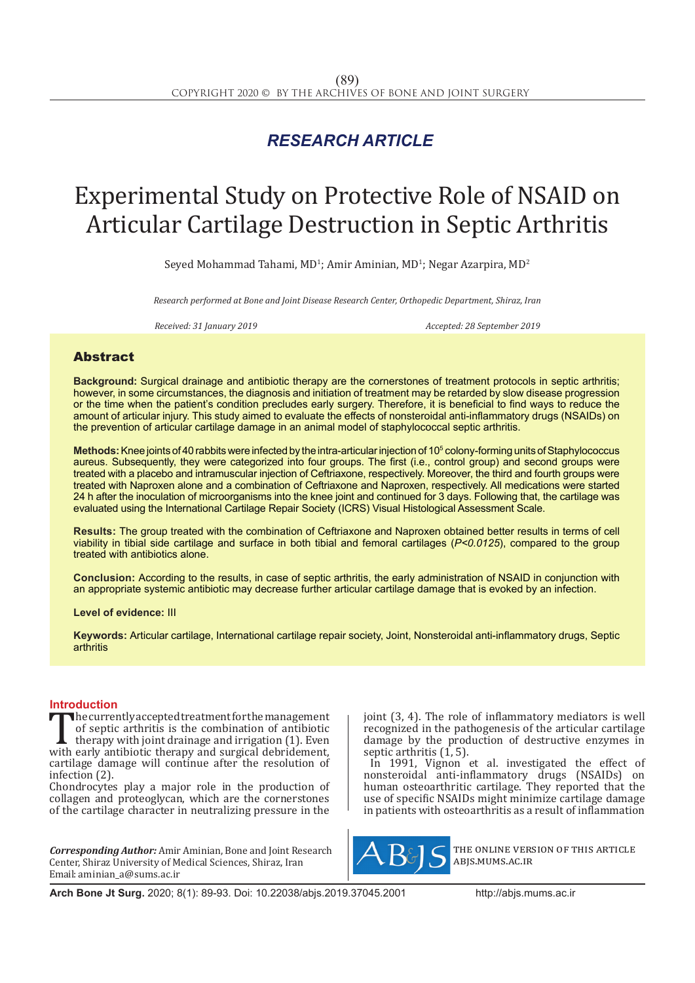## *RESEARCH ARTICLE*

# Experimental Study on Protective Role of NSAID on Articular Cartilage Destruction in Septic Arthritis

Seyed Mohammad Tahami, MD<sup>1</sup>; Amir Aminian, MD<sup>1</sup>; Negar Azarpira, MD<sup>2</sup>

*Research performed at Bone and Joint Disease Research Center, Orthopedic Department, Shiraz, Iran*

*Received: 31 January 2019 Accepted: 28 September 2019*

## Abstract

**Background:** Surgical drainage and antibiotic therapy are the cornerstones of treatment protocols in septic arthritis; however, in some circumstances, the diagnosis and initiation of treatment may be retarded by slow disease progression or the time when the patient's condition precludes early surgery. Therefore, it is beneficial to find ways to reduce the amount of articular injury. This study aimed to evaluate the effects of nonsteroidal anti-inflammatory drugs (NSAIDs) on the prevention of articular cartilage damage in an animal model of staphylococcal septic arthritis.

**Methods:** Knee joints of 40 rabbits were infected by the intra-articular injection of 105 colony-forming units of Staphylococcus aureus. Subsequently, they were categorized into four groups. The first (i.e., control group) and second groups were treated with a placebo and intramuscular injection of Ceftriaxone, respectively. Moreover, the third and fourth groups were treated with Naproxen alone and a combination of Ceftriaxone and Naproxen, respectively. All medications were started 24 h after the inoculation of microorganisms into the knee joint and continued for 3 days. Following that, the cartilage was evaluated using the International Cartilage Repair Society (ICRS) Visual Histological Assessment Scale.

**Results:** The group treated with the combination of Ceftriaxone and Naproxen obtained better results in terms of cell viability in tibial side cartilage and surface in both tibial and femoral cartilages (*P<0.0125*), compared to the group treated with antibiotics alone.

**Conclusion:** According to the results, in case of septic arthritis, the early administration of NSAID in conjunction with an appropriate systemic antibiotic may decrease further articular cartilage damage that is evoked by an infection.

**Level of evidence:** III

**Keywords:** Articular cartilage, International cartilage repair society, Joint, Nonsteroidal anti-inflammatory drugs, Septic arthritis

**Introduction**<br>The currently accepted treatment for the management The currently accepted treatment for the management<br>
of septic arthritis is the combination of antibiotic<br>
therapy with joint drainage and irrigation (1). Even<br>
with early antibiotic therapy and surgical debridement,<br>
cart of septic arthritis is the combination of antibiotic therapy with joint drainage and irrigation (1). Even cartilage damage will continue after the resolution of infection (2).

Chondrocytes play a major role in the production of collagen and proteoglycan, which are the cornerstones of the cartilage character in neutralizing pressure in the

*Corresponding Author:* Amir Aminian, Bone and Joint Research Center, Shiraz University of Medical Sciences, Shiraz, Iran Email: aminian\_a@sums.ac.ir

joint (3, 4). The role of inflammatory mediators is well recognized in the pathogenesis of the articular cartilage damage by the production of destructive enzymes in septic arthritis (1, 5).

In 1991, Vignon et al. investigated the effect of nonsteroidal anti-inflammatory drugs (NSAIDs) on human osteoarthritic cartilage. They reported that the use of specific NSAIDs might minimize cartilage damage in patients with osteoarthritis as a result of inflammation



the online version of this article abjs.mums.ac.ir

**Arch Bone Jt Surg.** 2020; 8(1): 89-93. Doi: 10.22038/abjs.2019.37045.2001http://abjs.mums.ac.ir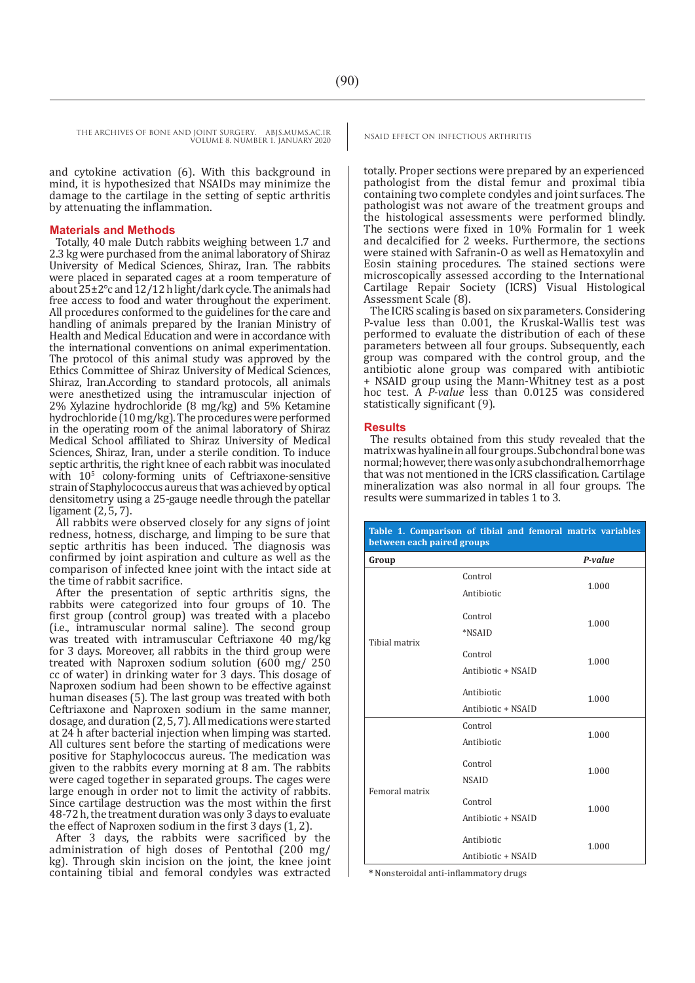and cytokine activation (6). With this background in mind, it is hypothesized that NSAIDs may minimize the damage to the cartilage in the setting of septic arthritis by attenuating the inflammation.

### **Materials and Methods**

Totally, 40 male Dutch rabbits weighing between 1.7 and 2.3 kg were purchased from the animal laboratory of Shiraz University of Medical Sciences, Shiraz, Iran. The rabbits were placed in separated cages at a room temperature of about  $25\pm2^{\circ}$ c and  $12/12$  h light/dark cycle. The animals had free access to food and water throughout the experiment. All procedures conformed to the guidelines for the care and handling of animals prepared by the Iranian Ministry of Health and Medical Education and were in accordance with the international conventions on animal experimentation. The protocol of this animal study was approved by the Ethics Committee of Shiraz University of Medical Sciences, Shiraz, Iran.According to standard protocols, all animals were anesthetized using the intramuscular injection of 2% Xylazine hydrochloride (8 mg/kg) and 5% Ketamine hydrochloride (10 mg/kg). The procedures were performed in the operating room of the animal laboratory of Shiraz Medical School affiliated to Shiraz University of Medical Sciences, Shiraz, Iran, under a sterile condition. To induce septic arthritis, the right knee of each rabbit was inoculated with 10<sup>5</sup> colony-forming units of Ceftriaxone-sensitive strain of Staphylococcus aureus that was achieved by optical densitometry using a 25-gauge needle through the patellar ligament (2, 5, 7).

All rabbits were observed closely for any signs of joint redness, hotness, discharge, and limping to be sure that septic arthritis has been induced. The diagnosis was confirmed by joint aspiration and culture as well as the comparison of infected knee joint with the intact side at the time of rabbit sacrifice.

After the presentation of septic arthritis signs, the rabbits were categorized into four groups of 10. The first group (control group) was treated with a placebo (i.e., intramuscular normal saline). The second group was treated with intramuscular Ceftriaxone 40 mg/kg for 3 days. Moreover, all rabbits in the third group were treated with Naproxen sodium solution (600 mg/ 250 cc of water) in drinking water for 3 days. This dosage of Naproxen sodium had been shown to be effective against human diseases (5). The last group was treated with both Ceftriaxone and Naproxen sodium in the same manner, dosage, and duration (2, 5, 7). All medications were started at 24 h after bacterial injection when limping was started. All cultures sent before the starting of medications were positive for Staphylococcus aureus. The medication was given to the rabbits every morning at 8 am. The rabbits were caged together in separated groups. The cages were large enough in order not to limit the activity of rabbits. Since cartilage destruction was the most within the first 48-72 h, the treatment duration was only 3 days to evaluate the effect of Naproxen sodium in the first 3 days (1, 2).

After 3 days, the rabbits were sacrificed by the administration of high doses of Pentothal (200 mg/ kg). Through skin incision on the joint, the knee joint containing tibial and femoral condyles was extracted

totally. Proper sections were prepared by an experienced pathologist from the distal femur and proximal tibia containing two complete condyles and joint surfaces. The pathologist was not aware of the treatment groups and the histological assessments were performed blindly. The sections were fixed in 10% Formalin for 1 week and decalcified for 2 weeks. Furthermore, the sections were stained with Safranin-O as well as Hematoxylin and Eosin staining procedures. The stained sections were microscopically assessed according to the International Cartilage Repair Society (ICRS) Visual Histological Assessment Scale (8).

The ICRS scaling is based on six parameters. Considering P-value less than 0.001, the Kruskal-Wallis test was performed to evaluate the distribution of each of these parameters between all four groups. Subsequently, each group was compared with the control group, and the antibiotic alone group was compared with antibiotic + NSAID group using the Mann-Whitney test as a post hoc test. A *P-value* less than 0.0125 was considered statistically significant (9).

#### **Results**

The results obtained from this study revealed that the matrix was hyaline in all four groups. Subchondral bone was normal; however, there was only a subchondral hemorrhage that was not mentioned in the ICRS classification. Cartilage mineralization was also normal in all four groups. The results were summarized in tables 1 to 3.

| Table 1. Comparison of tibial and femoral matrix variables<br>between each paired groups |                                  |         |
|------------------------------------------------------------------------------------------|----------------------------------|---------|
| Group                                                                                    |                                  | P-value |
| Tibial matrix                                                                            | Control<br>Antibiotic            | 1.000   |
|                                                                                          | Control<br>*NSAID                | 1.000   |
|                                                                                          | Control<br>Antibiotic + NSAID    | 1.000   |
|                                                                                          | Antibiotic<br>Antibiotic + NSAID | 1.000   |
| Femoral matrix                                                                           | Control<br>Antibiotic            | 1.000   |
|                                                                                          | Control<br><b>NSAID</b>          | 1.000   |
|                                                                                          | Control<br>Antibiotic + NSAID    | 1.000   |
|                                                                                          | Antibiotic<br>Antibiotic + NSAID | 1.000   |

**\*** Nonsteroidal anti-inflammatory drugs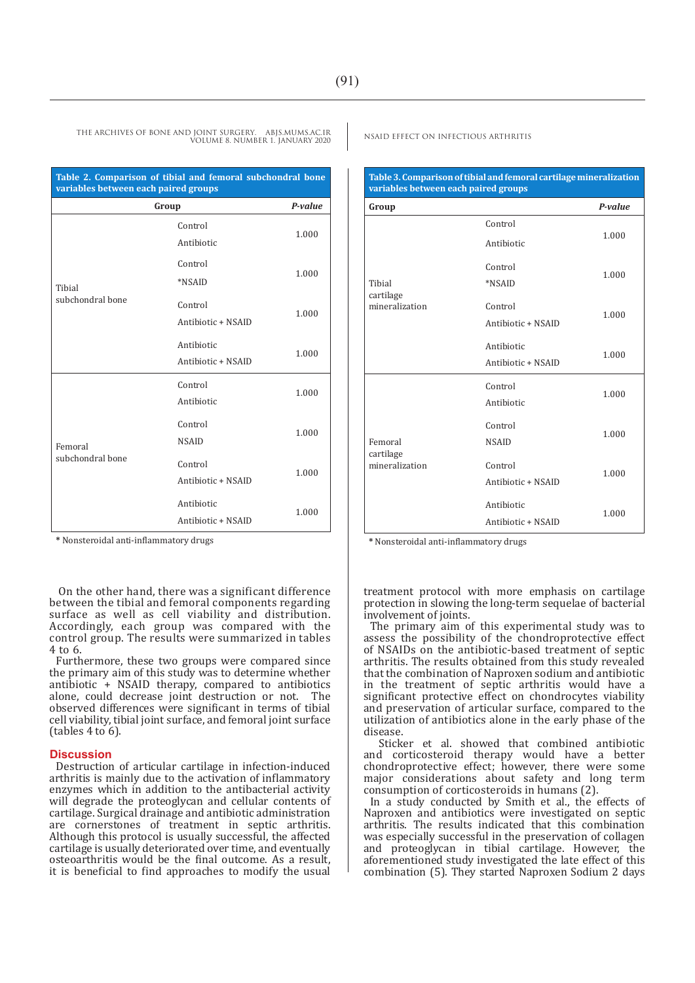| Table 2. Comparison of tibial and femoral subchondral bone<br>variables between each paired groups |                                  |         |
|----------------------------------------------------------------------------------------------------|----------------------------------|---------|
| Group                                                                                              |                                  | P-value |
|                                                                                                    | Control<br>Antibiotic            | 1.000   |
| Tibial                                                                                             | Control<br>*NSAID                | 1.000   |
| subchondral bone                                                                                   | Control<br>Antibiotic + NSAID    | 1.000   |
|                                                                                                    | Antibiotic<br>Antibiotic + NSAID | 1.000   |
|                                                                                                    | Control<br>Antibiotic            | 1.000   |
| Femoral                                                                                            | Control<br><b>NSAID</b>          | 1.000   |
| subchondral bone                                                                                   | Control<br>Antibiotic + NSAID    | 1.000   |
|                                                                                                    | Antibiotic<br>Antibiotic + NSAID | 1.000   |

**\*** Nonsteroidal anti-inflammatory drugs

 On the other hand, there was a significant difference between the tibial and femoral components regarding surface as well as cell viability and distribution. Accordingly, each group was compared with the control group. The results were summarized in tables 4 to 6.

Furthermore, these two groups were compared since the primary aim of this study was to determine whether antibiotic + NSAID therapy, compared to antibiotics alone, could decrease joint destruction or not. The observed differences were significant in terms of tibial cell viability, tibial joint surface, and femoral joint surface (tables 4 to 6).

#### **Discussion**

Destruction of articular cartilage in infection-induced arthritis is mainly due to the activation of inflammatory enzymes which in addition to the antibacterial activity will degrade the proteoglycan and cellular contents of cartilage. Surgical drainage and antibiotic administration are cornerstones of treatment in septic arthritis. Although this protocol is usually successful, the affected cartilage is usually deteriorated over time, and eventually osteoarthritis would be the final outcome. As a result, it is beneficial to find approaches to modify the usual

| Table 3. Comparison of tibial and femoral cartilage mineralization<br>variables between each paired groups |                                  |         |
|------------------------------------------------------------------------------------------------------------|----------------------------------|---------|
| Group                                                                                                      |                                  | P-value |
| Tibial<br>cartilage<br>mineralization                                                                      | Control<br>Antibiotic            | 1.000   |
|                                                                                                            | Control<br>*NSAID                | 1.000   |
|                                                                                                            | Control<br>Antibiotic + NSAID    | 1.000   |
|                                                                                                            | Antibiotic<br>Antibiotic + NSAID | 1.000   |
| Femoral<br>cartilage<br>mineralization                                                                     | Control<br>Antibiotic            | 1.000   |
|                                                                                                            | Control<br><b>NSAID</b>          | 1.000   |
|                                                                                                            | Control<br>Antibiotic + NSAID    | 1.000   |
|                                                                                                            | Antibiotic<br>Antibiotic + NSAID | 1.000   |

**\*** Nonsteroidal anti-inflammatory drugs

treatment protocol with more emphasis on cartilage protection in slowing the long-term sequelae of bacterial involvement of joints.

The primary aim of this experimental study was to assess the possibility of the chondroprotective effect of NSAIDs on the antibiotic-based treatment of septic arthritis. The results obtained from this study revealed that the combination of Naproxen sodium and antibiotic in the treatment of septic arthritis would have a significant protective effect on chondrocytes viability and preservation of articular surface, compared to the utilization of antibiotics alone in the early phase of the disease.

 Sticker et al. showed that combined antibiotic and corticosteroid therapy would have a better chondroprotective effect; however, there were some major considerations about safety and long term consumption of corticosteroids in humans (2).

In a study conducted by Smith et al., the effects of Naproxen and antibiotics were investigated on septic arthritis. The results indicated that this combination was especially successful in the preservation of collagen and proteoglycan in tibial cartilage. However, the aforementioned study investigated the late effect of this combination (5). They started Naproxen Sodium 2 days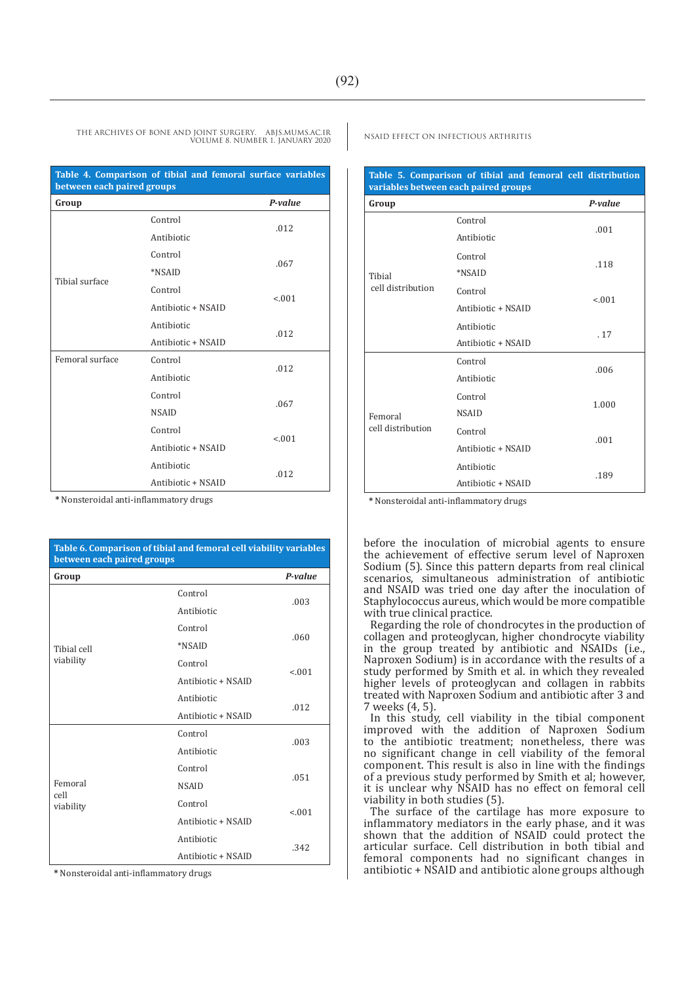| Table 4. Comparison of tibial and femoral surface variables<br>between each paired groups |                    |         |  |
|-------------------------------------------------------------------------------------------|--------------------|---------|--|
| Group                                                                                     |                    | P-value |  |
|                                                                                           | Control            | .012    |  |
|                                                                                           | Antibiotic         |         |  |
|                                                                                           | Control            |         |  |
|                                                                                           | *NSAID             | .067    |  |
| Tibial surface                                                                            | Control            |         |  |
|                                                                                           | Antibiotic + NSAID | < 0.01  |  |
|                                                                                           | Antibiotic         |         |  |
|                                                                                           | Antibiotic + NSAID | .012    |  |
| Femoral surface                                                                           | Control            |         |  |
|                                                                                           | Antibiotic         | .012    |  |
|                                                                                           | Control            |         |  |
|                                                                                           | <b>NSAID</b>       | .067    |  |
|                                                                                           | Control            |         |  |
|                                                                                           | Antibiotic + NSAID | < 0.01  |  |
|                                                                                           | Antibiotic         |         |  |
|                                                                                           | Antibiotic + NSAID | .012    |  |

**\*** Nonsteroidal anti-inflammatory drugs

| Table 6. Comparison of tibial and femoral cell viability variables<br>between each paired groups |                    |         |  |
|--------------------------------------------------------------------------------------------------|--------------------|---------|--|
| Group                                                                                            |                    | P-value |  |
|                                                                                                  | Control            | .003    |  |
|                                                                                                  | Antibiotic         |         |  |
|                                                                                                  | Control            |         |  |
| Tibial cell                                                                                      | *NSAID             | .060    |  |
| viability                                                                                        | Control            | < 0.01  |  |
|                                                                                                  | Antibiotic + NSAID |         |  |
|                                                                                                  | Antibiotic         | .012    |  |
|                                                                                                  | Antibiotic + NSAID |         |  |
|                                                                                                  | Control            | .003    |  |
|                                                                                                  | Antibiotic         |         |  |
|                                                                                                  | Control            | .051    |  |
| Femoral<br>cell                                                                                  | <b>NSAID</b>       |         |  |
| viability                                                                                        | Control            | < 0.01  |  |
|                                                                                                  | Antibiotic + NSAID |         |  |
|                                                                                                  | Antibiotic         | .342    |  |
|                                                                                                  | Antibiotic + NSAID |         |  |

**\*** Nonsteroidal anti-inflammatory drugs

| Table 5. Comparison of tibial and femoral cell distribution<br>variables between each paired groups |                    |         |
|-----------------------------------------------------------------------------------------------------|--------------------|---------|
| Group                                                                                               |                    | P-value |
|                                                                                                     | Control            | .001    |
|                                                                                                     | Antibiotic         |         |
|                                                                                                     | Control            | .118    |
| Tibial<br>cell distribution                                                                         | *NSAID             |         |
|                                                                                                     | Control            | < 0.01  |
|                                                                                                     | Antibiotic + NSAID |         |
|                                                                                                     | Antibiotic         | .17     |
|                                                                                                     | Antibiotic + NSAID |         |
|                                                                                                     | Control            | .006    |
| Femoral<br>cell distribution                                                                        | Antibiotic         |         |
|                                                                                                     | Control            | 1.000   |
|                                                                                                     | <b>NSAID</b>       |         |
|                                                                                                     | Control            | .001    |
|                                                                                                     | Antibiotic + NSAID |         |
|                                                                                                     | Antibiotic         | .189    |
|                                                                                                     | Antibiotic + NSAID |         |

**\*** Nonsteroidal anti-inflammatory drugs

before the inoculation of microbial agents to ensure the achievement of effective serum level of Naproxen Sodium (5). Since this pattern departs from real clinical scenarios, simultaneous administration of antibiotic and NSAID was tried one day after the inoculation of Staphylococcus aureus, which would be more compatible with true clinical practice.

Regarding the role of chondrocytes in the production of collagen and proteoglycan, higher chondrocyte viability in the group treated by antibiotic and NSAIDs (i.e., Naproxen Sodium) is in accordance with the results of a study performed by Smith et al. in which they revealed higher levels of proteoglycan and collagen in rabbits treated with Naproxen Sodium and antibiotic after 3 and 7 weeks (4, 5).

In this study, cell viability in the tibial component improved with the addition of Naproxen Sodium to the antibiotic treatment; nonetheless, there was no significant change in cell viability of the femoral component. This result is also in line with the findings of a previous study performed by Smith et al; however, it is unclear why NSAID has no effect on femoral cell viability in both studies (5).

The surface of the cartilage has more exposure to inflammatory mediators in the early phase, and it was shown that the addition of NSAID could protect the articular surface. Cell distribution in both tibial and femoral components had no significant changes in antibiotic + NSAID and antibiotic alone groups although